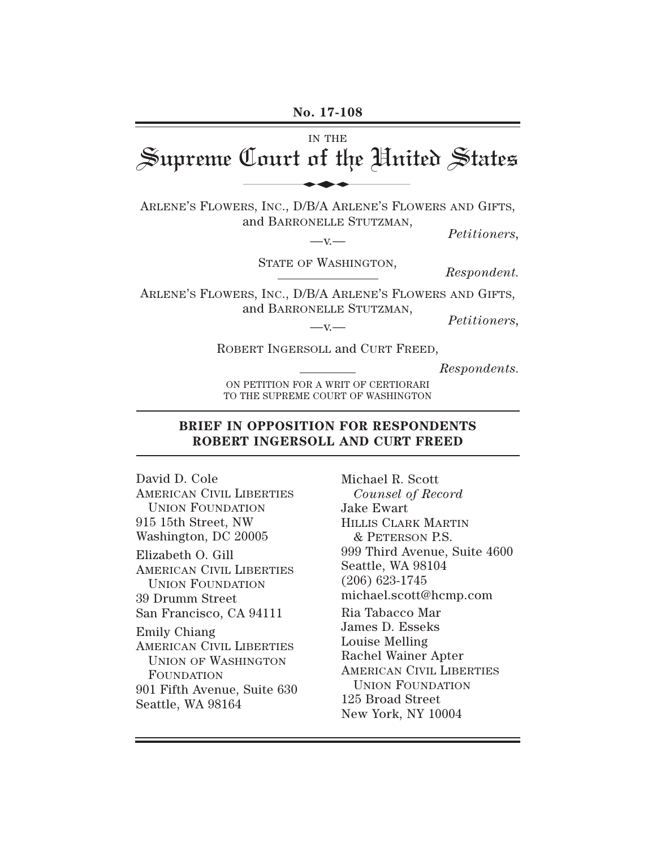**No. 17-108** IN THE Supreme Court of the United States ARLENE'S FLOWERS, INC., D/B/A ARLENE'S FLOWERS AND GIFTS, and BARRONELLE STUTZMAN,  $-$ v. *Petitioners,* STATE OF WASHINGTON, *Respondent.* ARLENE'S FLOWERS, INC., D/B/A ARLENE'S FLOWERS AND GIFTS, and BARRONELLE STUTZMAN,  $-x -$ *Petitioners,* ROBERT INGERSOLL and CURT FREED, No. 17-108<br>In THE<br>Lourt of the Uni

*Respondents.*

ON PETITION FOR A WRIT OF CERTIORARI TO THE SUPREME COURT OF WASHINGTON

#### **BRIEF IN OPPOSITION FOR RESPONDENTS ROBERT INGERSOLL AND CURT FREED**

David D. Cole AMERICAN CIVIL LIBERTIES UNION FOUNDATION 915 15th Street, NW Washington, DC 20005 Elizabeth O. Gill AMERICAN CIVIL LIBERTIES UNION FOUNDATION 39 Drumm Street San Francisco, CA 94111 Emily Chiang AMERICAN CIVIL LIBERTIES UNION OF WASHINGTON FOUNDATION 901 Fifth Avenue, Suite 630 Seattle, WA 98164

Michael R. Scott *Counsel of Record* Jake Ewart HILLIS CLARK MARTIN & PETERSON P.S. 999 Third Avenue, Suite 4600 Seattle, WA 98104 (206) 623-1745 michael.scott@hcmp.com Ria Tabacco Mar James D. Esseks Louise Melling Rachel Wainer Apter AMERICAN CIVIL LIBERTIES UNION FOUNDATION 125 Broad Street New York, NY 10004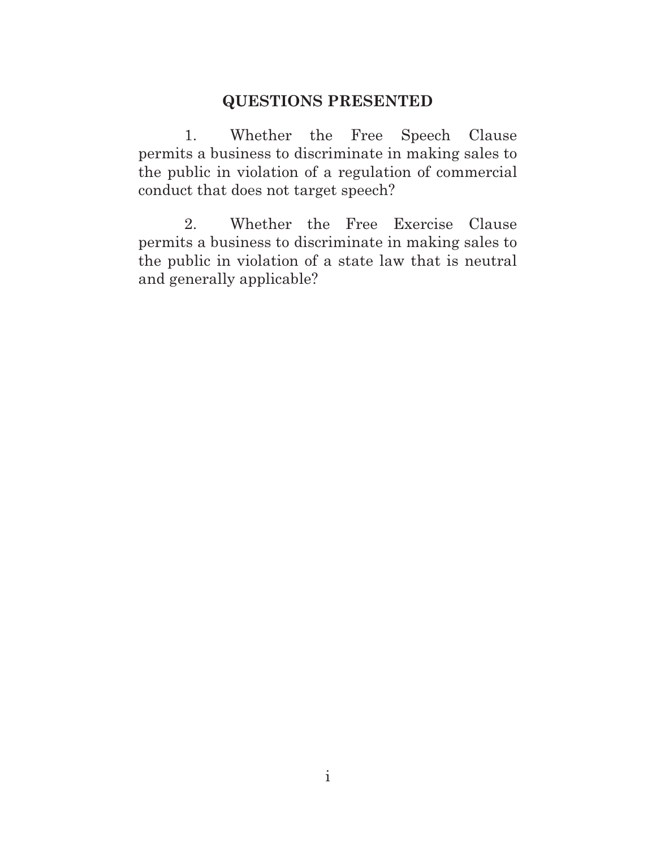### **QUESTIONS PRESENTED**

1. Whether the Free Speech Clause permits a business to discriminate in making sales to the public in violation of a regulation of commercial conduct that does not target speech?

2. Whether the Free Exercise Clause permits a business to discriminate in making sales to the public in violation of a state law that is neutral and generally applicable?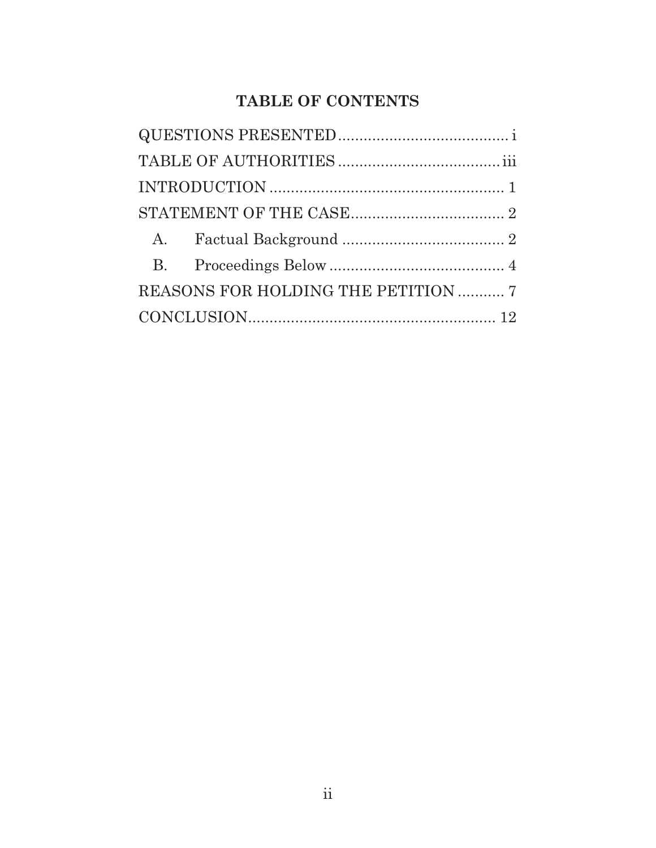# **TABLE OF CONTENTS**

|  | REASONS FOR HOLDING THE PETITION  7 |  |
|--|-------------------------------------|--|
|  |                                     |  |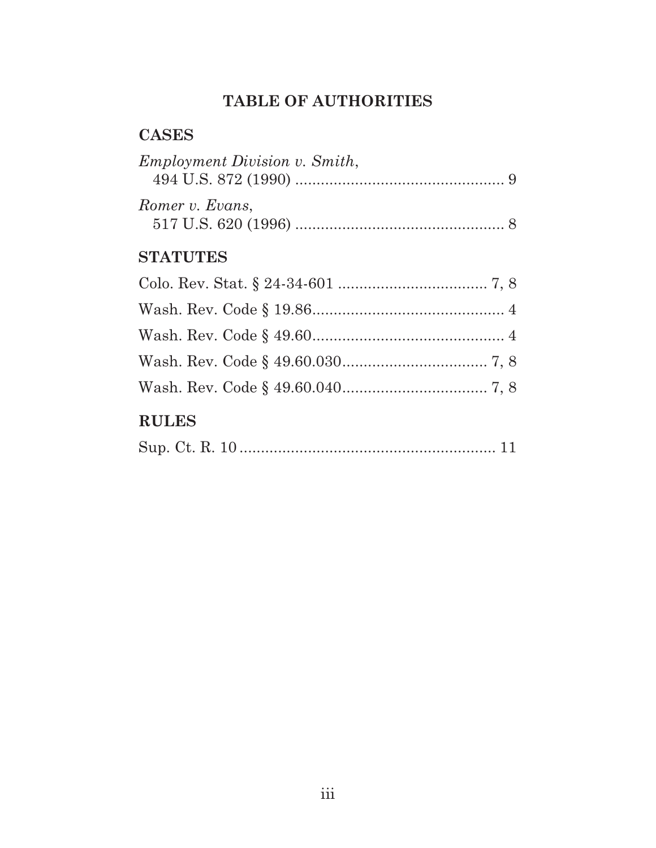# **TABLE OF AUTHORITIES**

## **CASES**

| <i>Employment Division v. Smith,</i> |  |
|--------------------------------------|--|
| Romer v. Evans,                      |  |

# **STATUTES**

# **RULES**

|--|--|--|--|--|--|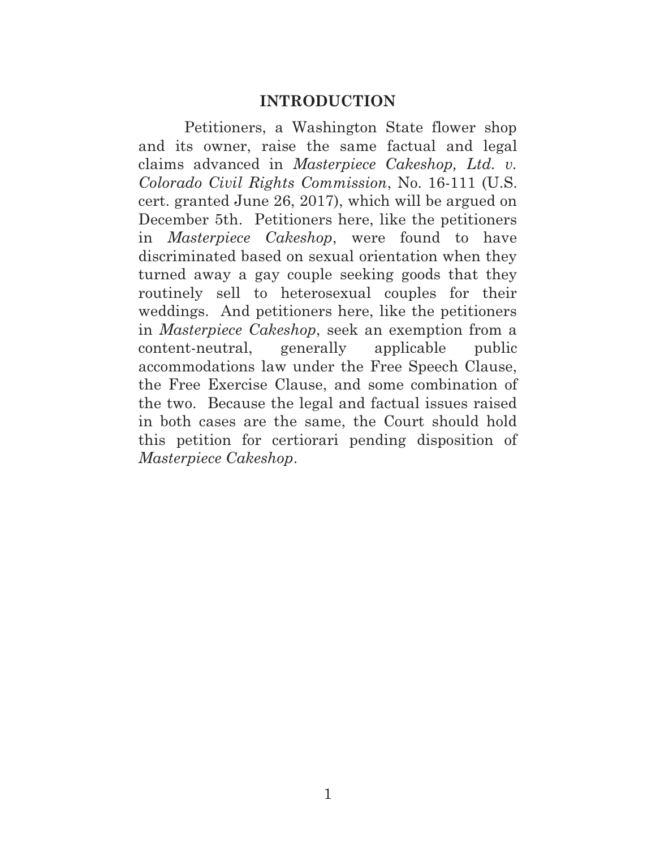#### **INTRODUCTION**

Petitioners, a Washington State flower shop and its owner, raise the same factual and legal claims advanced in *Masterpiece Cakeshop, Ltd. v. Colorado Civil Rights Commission*, No. 16-111 (U.S. cert. granted June 26, 2017), which will be argued on December 5th. Petitioners here, like the petitioners in *Masterpiece Cakeshop*, were found to have discriminated based on sexual orientation when they turned away a gay couple seeking goods that they routinely sell to heterosexual couples for their weddings. And petitioners here, like the petitioners in *Masterpiece Cakeshop*, seek an exemption from a content-neutral, generally applicable public accommodations law under the Free Speech Clause, the Free Exercise Clause, and some combination of the two. Because the legal and factual issues raised in both cases are the same, the Court should hold this petition for certiorari pending disposition of *Masterpiece Cakeshop*.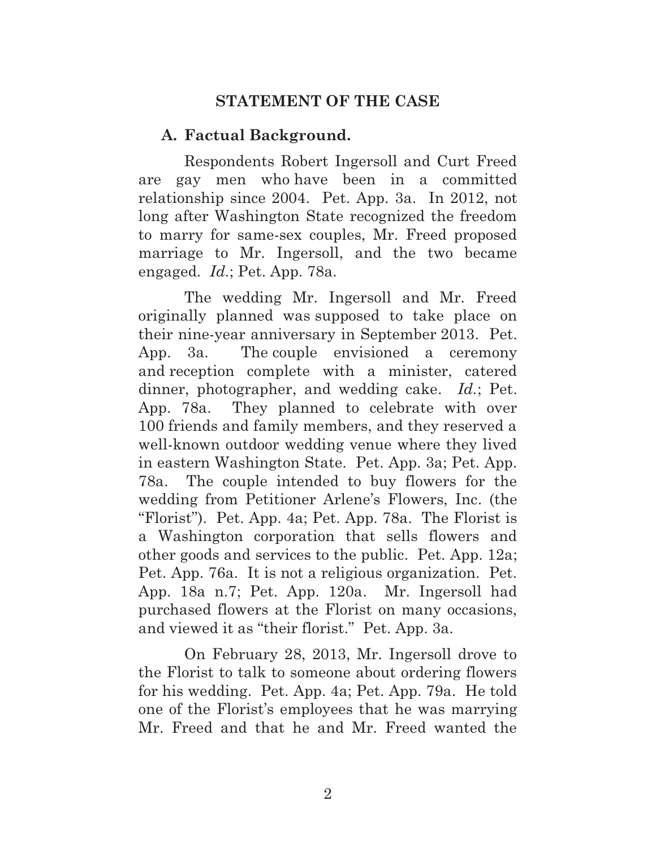## **STATEMENT OF THE CASE**

### **A. Factual Background.**

Respondents Robert Ingersoll and Curt Freed are gay men who have been in a committed relationship since 2004. Pet. App. 3a. In 2012, not long after Washington State recognized the freedom to marry for same-sex couples, Mr. Freed proposed marriage to Mr. Ingersoll, and the two became engaged. *Id.*; Pet. App. 78a.

The wedding Mr. Ingersoll and Mr. Freed originally planned was supposed to take place on their nine-year anniversary in September 2013. Pet. App. 3a.The couple envisioned a ceremony and reception complete with a minister, catered dinner, photographer, and wedding cake. *Id.*; Pet. App. 78a. They planned to celebrate with over 100 friends and family members, and they reserved a well-known outdoor wedding venue where they lived in eastern Washington State. Pet. App. 3a; Pet. App. 78a. The couple intended to buy flowers for the wedding from Petitioner Arlene's Flowers, Inc. (the "Florist"). Pet. App. 4a; Pet. App. 78a. The Florist is a Washington corporation that sells flowers and other goods and services to the public. Pet. App. 12a; Pet. App. 76a. It is not a religious organization. Pet. App. 18a n.7; Pet. App. 120a. Mr. Ingersoll had purchased flowers at the Florist on many occasions, and viewed it as "their florist." Pet. App. 3a.

On February 28, 2013, Mr. Ingersoll drove to the Florist to talk to someone about ordering flowers for his wedding. Pet. App. 4a; Pet. App. 79a.He told one of the Florist's employees that he was marrying Mr. Freed and that he and Mr. Freed wanted the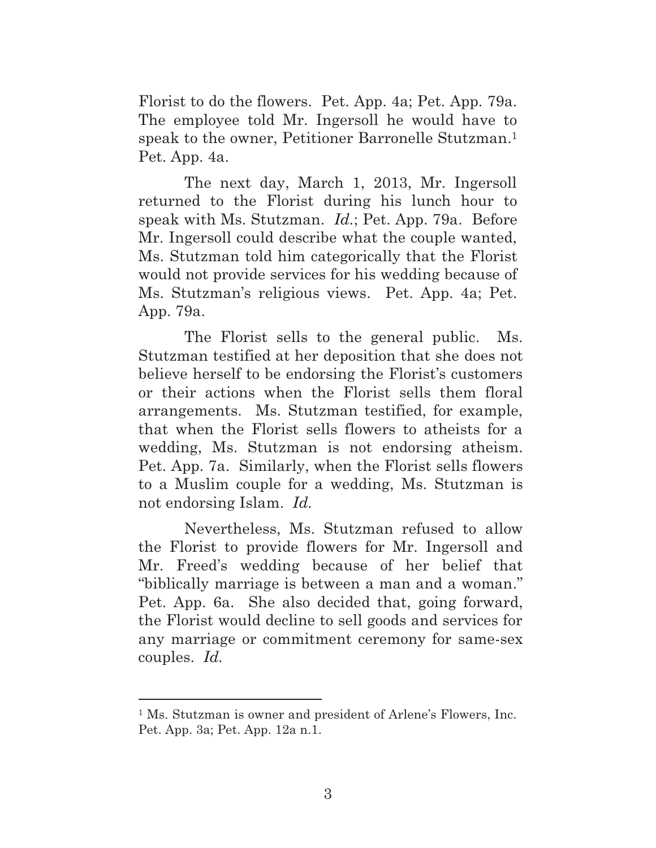Florist to do the flowers. Pet. App. 4a; Pet. App. 79a. The employee told Mr. Ingersoll he would have to speak to the owner, Petitioner Barronelle Stutzman.<sup>1</sup> Pet. App. 4a.

The next day, March 1, 2013, Mr. Ingersoll returned to the Florist during his lunch hour to speak with Ms. Stutzman. *Id.*; Pet. App. 79a. Before Mr. Ingersoll could describe what the couple wanted, Ms. Stutzman told him categorically that the Florist would not provide services for his wedding because of Ms. Stutzman's religious views. Pet. App. 4a; Pet. App. 79a.

The Florist sells to the general public. Ms. Stutzman testified at her deposition that she does not believe herself to be endorsing the Florist's customers or their actions when the Florist sells them floral arrangements. Ms. Stutzman testified, for example, that when the Florist sells flowers to atheists for a wedding, Ms. Stutzman is not endorsing atheism. Pet. App. 7a. Similarly, when the Florist sells flowers to a Muslim couple for a wedding, Ms. Stutzman is not endorsing Islam. *Id.*

Nevertheless, Ms. Stutzman refused to allow the Florist to provide flowers for Mr. Ingersoll and Mr. Freed's wedding because of her belief that "biblically marriage is between a man and a woman." Pet. App. 6a. She also decided that, going forward, the Florist would decline to sell goods and services for any marriage or commitment ceremony for same-sex couples. *Id.*

 $\overline{a}$ 

<sup>&</sup>lt;sup>1</sup> Ms. Stutzman is owner and president of Arlene's Flowers, Inc. Pet. App. 3a; Pet. App. 12a n.1.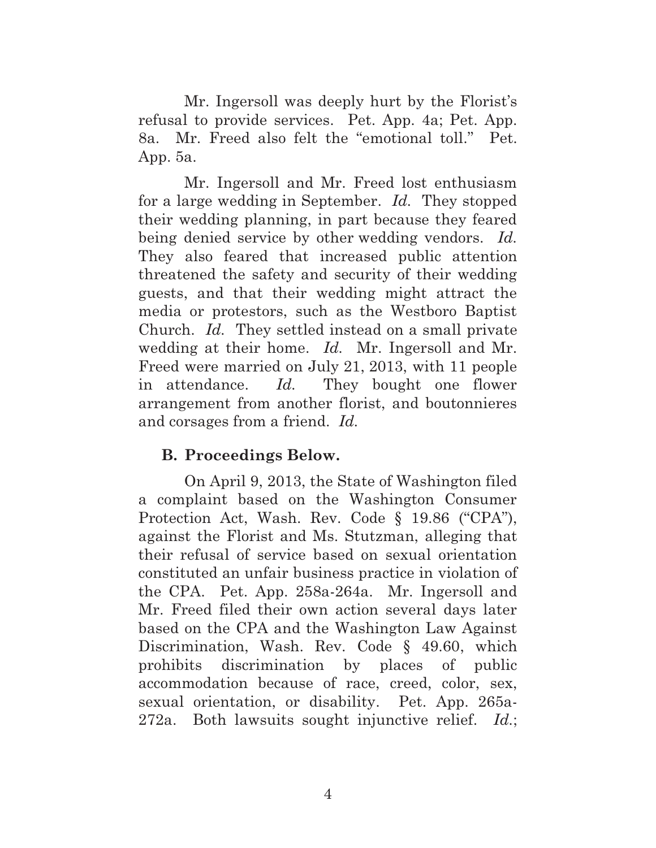Mr. Ingersoll was deeply hurt by the Florist's refusal to provide services. Pet. App. 4a; Pet. App. 8a. Mr. Freed also felt the "emotional toll." Pet. App. 5a.

Mr. Ingersoll and Mr. Freed lost enthusiasm for a large wedding in September. *Id.* They stopped their wedding planning, in part because they feared being denied service by other wedding vendors. *Id.* They also feared that increased public attention threatened the safety and security of their wedding guests, and that their wedding might attract the media or protestors, such as the Westboro Baptist Church. *Id.* They settled instead on a small private wedding at their home. *Id.* Mr. Ingersoll and Mr. Freed were married on July 21, 2013, with 11 people in attendance. *Id.* They bought one flower arrangement from another florist, and boutonnieres and corsages from a friend. *Id.*

### **B. Proceedings Below.**

On April 9, 2013, the State of Washington filed a complaint based on the Washington Consumer Protection Act, Wash. Rev. Code § 19.86 ("CPA"), against the Florist and Ms. Stutzman, alleging that their refusal of service based on sexual orientation constituted an unfair business practice in violation of the CPA. Pet. App. 258a-264a. Mr. Ingersoll and Mr. Freed filed their own action several days later based on the CPA and the Washington Law Against Discrimination, Wash. Rev. Code § 49.60, which prohibits discrimination by places of public accommodation because of race, creed, color, sex, sexual orientation, or disability. Pet. App. 265a-272a. Both lawsuits sought injunctive relief. *Id.*;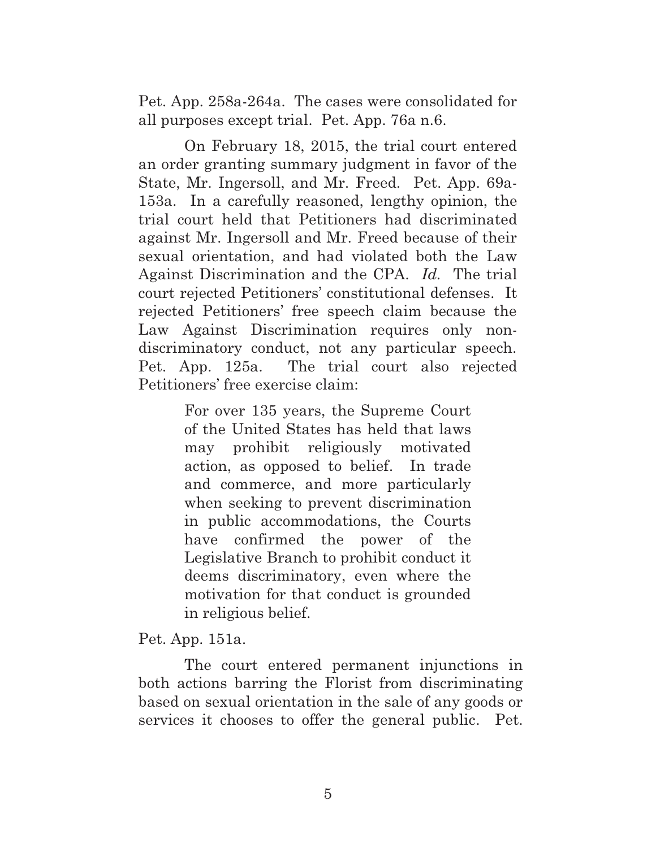Pet. App. 258a-264a.The cases were consolidated for all purposes except trial. Pet. App. 76a n.6.

On February 18, 2015, the trial court entered an order granting summary judgment in favor of the State, Mr. Ingersoll, and Mr. Freed. Pet. App. 69a-153a. In a carefully reasoned, lengthy opinion, the trial court held that Petitioners had discriminated against Mr. Ingersoll and Mr. Freed because of their sexual orientation, and had violated both the Law Against Discrimination and the CPA. *Id.* The trial court rejected Petitioners' constitutional defenses. It rejected Petitioners' free speech claim because the Law Against Discrimination requires only nondiscriminatory conduct, not any particular speech. Pet. App. 125a. The trial court also rejected Petitioners' free exercise claim:

> For over 135 years, the Supreme Court of the United States has held that laws may prohibit religiously motivated action, as opposed to belief. In trade and commerce, and more particularly when seeking to prevent discrimination in public accommodations, the Courts have confirmed the power of the Legislative Branch to prohibit conduct it deems discriminatory, even where the motivation for that conduct is grounded in religious belief.

Pet. App. 151a.

The court entered permanent injunctions in both actions barring the Florist from discriminating based on sexual orientation in the sale of any goods or services it chooses to offer the general public. Pet.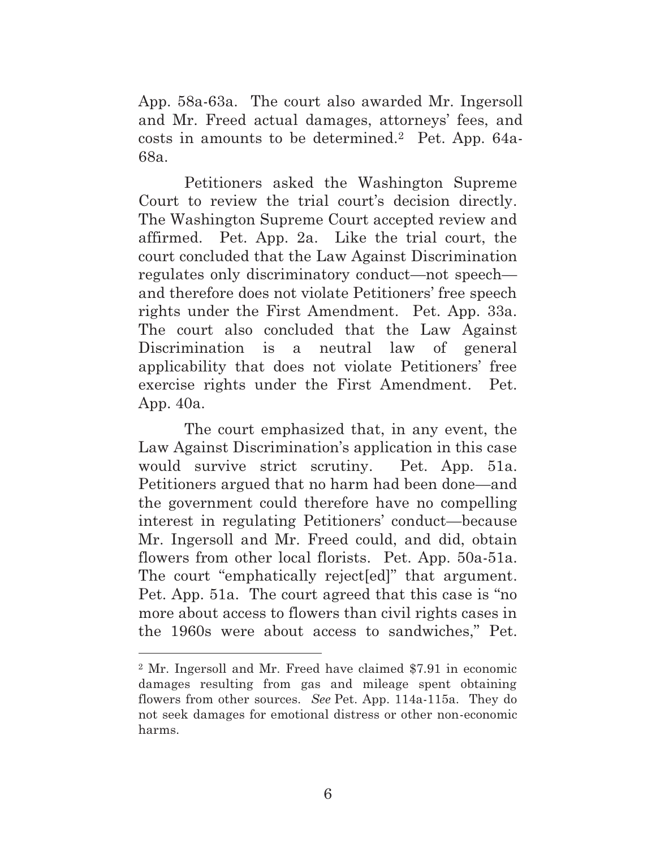App. 58a-63a. The court also awarded Mr. Ingersoll and Mr. Freed actual damages, attorneys' fees, and costs in amounts to be determined.2 Pet. App. 64a-68a.

Petitioners asked the Washington Supreme Court to review the trial court's decision directly. The Washington Supreme Court accepted review and affirmed. Pet. App. 2a. Like the trial court, the court concluded that the Law Against Discrimination regulates only discriminatory conduct—not speech and therefore does not violate Petitioners' free speech rights under the First Amendment. Pet. App. 33a. The court also concluded that the Law Against Discrimination is a neutral law of general applicability that does not violate Petitioners' free exercise rights under the First Amendment. Pet. App. 40a.

The court emphasized that, in any event, the Law Against Discrimination's application in this case would survive strict scrutiny. Pet. App. 51a. Petitioners argued that no harm had been done—and the government could therefore have no compelling interest in regulating Petitioners' conduct—because Mr. Ingersoll and Mr. Freed could, and did, obtain flowers from other local florists. Pet. App. 50a-51a. The court "emphatically reject[ed]" that argument. Pet. App. 51a. The court agreed that this case is "no more about access to flowers than civil rights cases in the 1960s were about access to sandwiches," Pet.

 $\overline{a}$ 

<sup>2</sup> Mr. Ingersoll and Mr. Freed have claimed \$7.91 in economic damages resulting from gas and mileage spent obtaining flowers from other sources. *See* Pet. App. 114a-115a. They do not seek damages for emotional distress or other non-economic harms.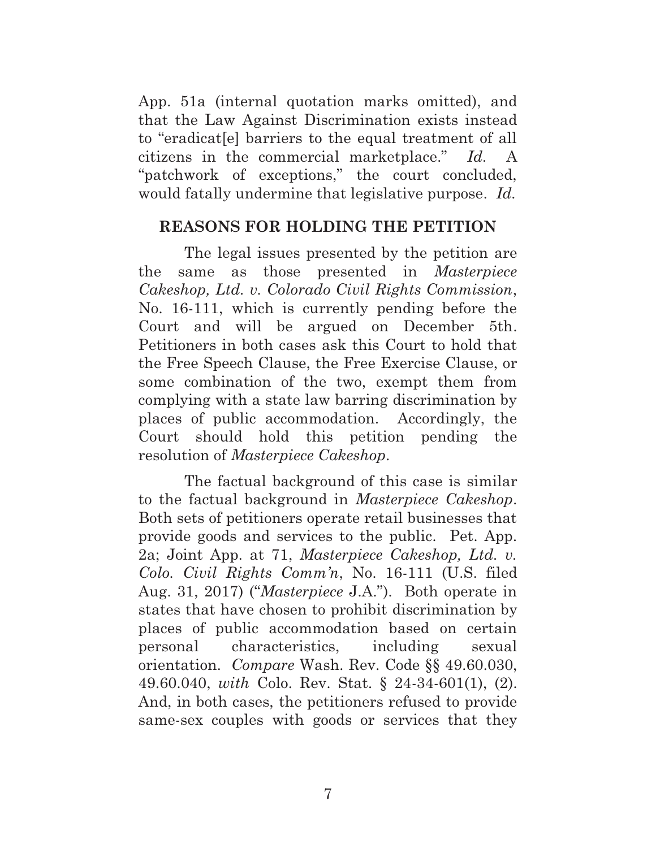App. 51a (internal quotation marks omitted), and that the Law Against Discrimination exists instead to "eradicat[e] barriers to the equal treatment of all citizens in the commercial marketplace." *Id.* A "patchwork of exceptions," the court concluded, would fatally undermine that legislative purpose. *Id.*

### **REASONS FOR HOLDING THE PETITION**

The legal issues presented by the petition are the same as those presented in *Masterpiece Cakeshop, Ltd. v. Colorado Civil Rights Commission*, No. 16-111, which is currently pending before the Court and will be argued on December 5th. Petitioners in both cases ask this Court to hold that the Free Speech Clause, the Free Exercise Clause, or some combination of the two, exempt them from complying with a state law barring discrimination by places of public accommodation. Accordingly, the Court should hold this petition pending the resolution of *Masterpiece Cakeshop*.

The factual background of this case is similar to the factual background in *Masterpiece Cakeshop*. Both sets of petitioners operate retail businesses that provide goods and services to the public. Pet. App. 2a; Joint App. at 71, *Masterpiece Cakeshop, Ltd. v. Colo. Civil Rights Comm'n*, No. 16-111 (U.S. filed Aug. 31, 2017) ("*Masterpiece* J.A."). Both operate in states that have chosen to prohibit discrimination by places of public accommodation based on certain personal characteristics, including sexual orientation. *Compare* Wash. Rev. Code §§ 49.60.030, 49.60.040, *with* Colo. Rev. Stat. § 24-34-601(1), (2). And, in both cases, the petitioners refused to provide same-sex couples with goods or services that they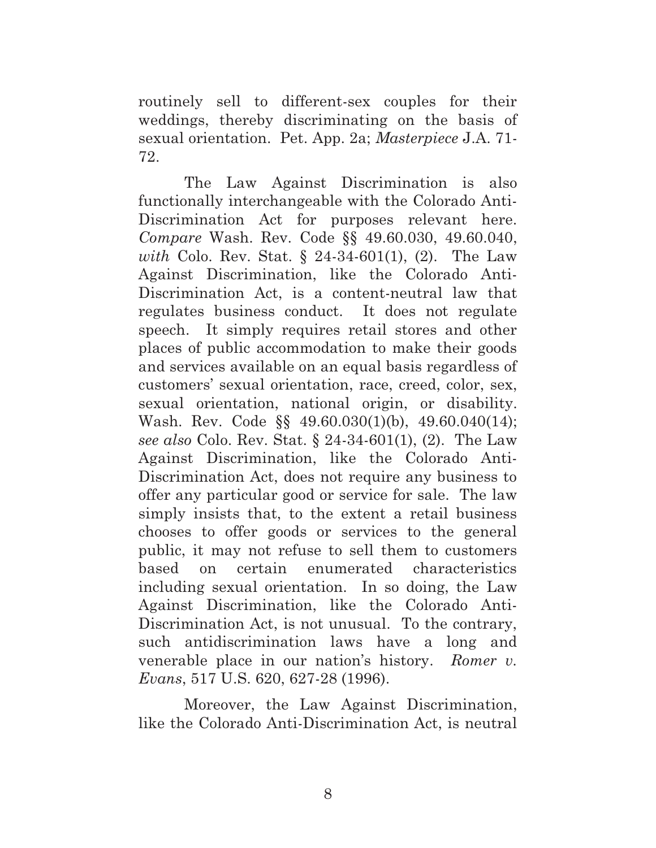routinely sell to different-sex couples for their weddings, thereby discriminating on the basis of sexual orientation. Pet. App. 2a; *Masterpiece* J.A. 71- 72.

The Law Against Discrimination is also functionally interchangeable with the Colorado Anti-Discrimination Act for purposes relevant here. *Compare* Wash. Rev. Code §§ 49.60.030, 49.60.040, *with* Colo. Rev. Stat. § 24-34-601(1), (2). The Law Against Discrimination, like the Colorado Anti-Discrimination Act, is a content-neutral law that regulates business conduct. It does not regulate speech. It simply requires retail stores and other places of public accommodation to make their goods and services available on an equal basis regardless of customers' sexual orientation, race, creed, color, sex, sexual orientation, national origin, or disability. Wash. Rev. Code §§ 49.60.030(1)(b), 49.60.040(14); *see also* Colo. Rev. Stat. § 24-34-601(1), (2). The Law Against Discrimination, like the Colorado Anti-Discrimination Act, does not require any business to offer any particular good or service for sale. The law simply insists that, to the extent a retail business chooses to offer goods or services to the general public, it may not refuse to sell them to customers based on certain enumerated characteristics including sexual orientation. In so doing, the Law Against Discrimination, like the Colorado Anti-Discrimination Act, is not unusual. To the contrary, such antidiscrimination laws have a long and venerable place in our nation's history. *Romer v. Evans*, 517 U.S. 620, 627-28 (1996).

Moreover, the Law Against Discrimination, like the Colorado Anti-Discrimination Act, is neutral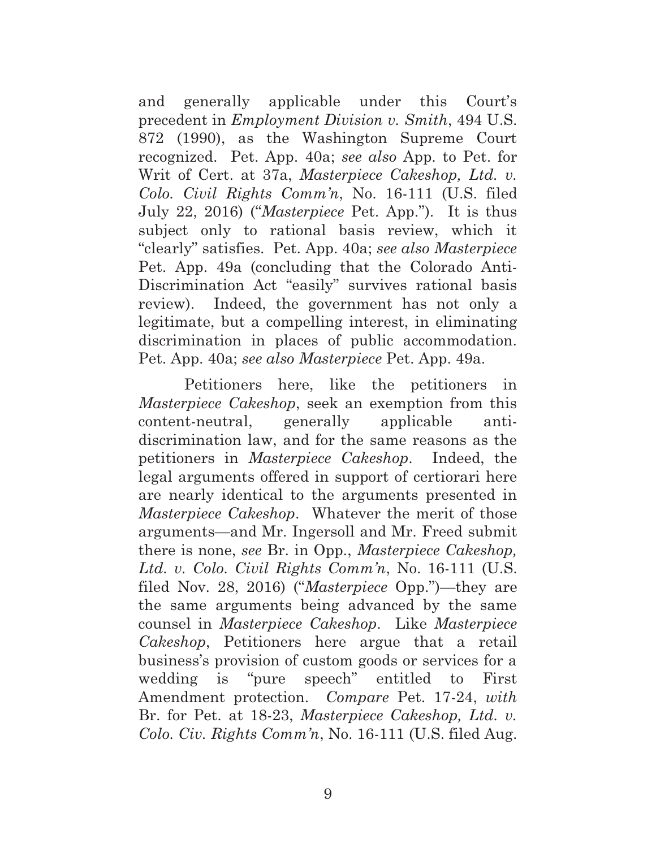and generally applicable under this Court's precedent in *Employment Division v. Smith*, 494 U.S. 872 (1990), as the Washington Supreme Court recognized. Pet. App. 40a; *see also* App. to Pet. for Writ of Cert. at 37a, *Masterpiece Cakeshop, Ltd. v. Colo. Civil Rights Comm'n*, No. 16-111 (U.S. filed July 22, 2016) ("*Masterpiece* Pet. App."). It is thus subject only to rational basis review, which it "clearly" satisfies. Pet. App. 40a; *see also Masterpiece* Pet. App. 49a (concluding that the Colorado Anti-Discrimination Act "easily" survives rational basis review). Indeed, the government has not only a legitimate, but a compelling interest, in eliminating discrimination in places of public accommodation. Pet. App. 40a; *see also Masterpiece* Pet. App. 49a.

Petitioners here, like the petitioners in *Masterpiece Cakeshop*, seek an exemption from this content-neutral, generally applicable antidiscrimination law, and for the same reasons as the petitioners in *Masterpiece Cakeshop*. Indeed, the legal arguments offered in support of certiorari here are nearly identical to the arguments presented in *Masterpiece Cakeshop*. Whatever the merit of those arguments—and Mr. Ingersoll and Mr. Freed submit there is none, *see* Br. in Opp., *Masterpiece Cakeshop, Ltd. v. Colo. Civil Rights Comm'n*, No. 16-111 (U.S. filed Nov. 28, 2016) ("*Masterpiece* Opp.")—they are the same arguments being advanced by the same counsel in *Masterpiece Cakeshop*. Like *Masterpiece Cakeshop*, Petitioners here argue that a retail business's provision of custom goods or services for a wedding is "pure speech" entitled to First Amendment protection. *Compare* Pet. 17-24, *with*  Br. for Pet. at 18-23, *Masterpiece Cakeshop, Ltd. v. Colo. Civ. Rights Comm'n*, No. 16-111 (U.S. filed Aug.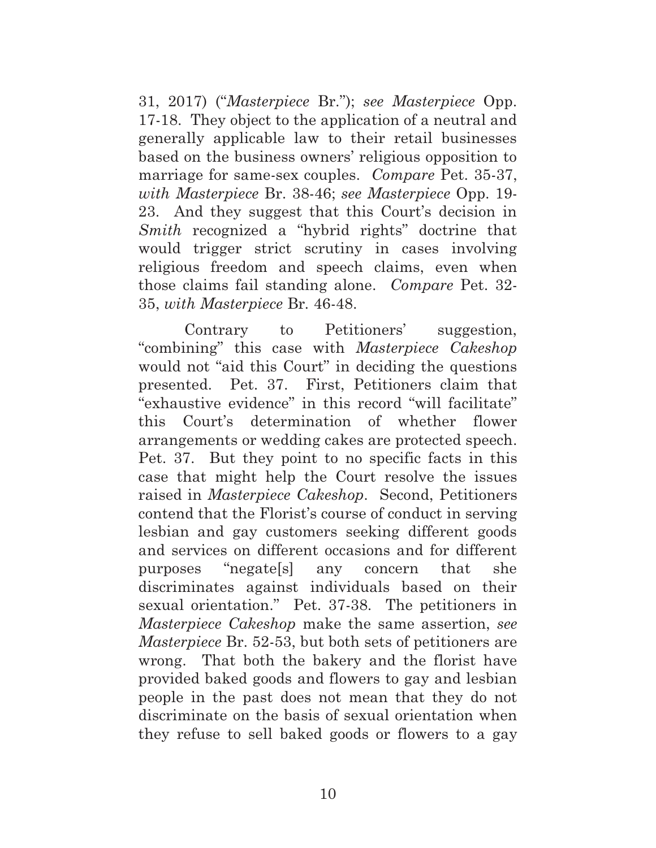31, 2017) ("*Masterpiece* Br."); *see Masterpiece* Opp. 17-18. They object to the application of a neutral and generally applicable law to their retail businesses based on the business owners' religious opposition to marriage for same-sex couples. *Compare* Pet. 35-37, *with Masterpiece* Br. 38-46; *see Masterpiece* Opp. 19- 23. And they suggest that this Court's decision in *Smith* recognized a "hybrid rights" doctrine that would trigger strict scrutiny in cases involving religious freedom and speech claims, even when those claims fail standing alone. *Compare* Pet. 32- 35, *with Masterpiece* Br*.* 46-48.

Contrary to Petitioners' suggestion, "combining" this case with *Masterpiece Cakeshop* would not "aid this Court" in deciding the questions presented. Pet. 37. First, Petitioners claim that "exhaustive evidence" in this record "will facilitate" this Court's determination of whether flower arrangements or wedding cakes are protected speech. Pet. 37. But they point to no specific facts in this case that might help the Court resolve the issues raised in *Masterpiece Cakeshop*. Second, Petitioners contend that the Florist's course of conduct in serving lesbian and gay customers seeking different goods and services on different occasions and for different purposes "negate[s] any concern that she discriminates against individuals based on their sexual orientation." Pet. 37-38. The petitioners in *Masterpiece Cakeshop* make the same assertion, *see Masterpiece* Br. 52-53, but both sets of petitioners are wrong. That both the bakery and the florist have provided baked goods and flowers to gay and lesbian people in the past does not mean that they do not discriminate on the basis of sexual orientation when they refuse to sell baked goods or flowers to a gay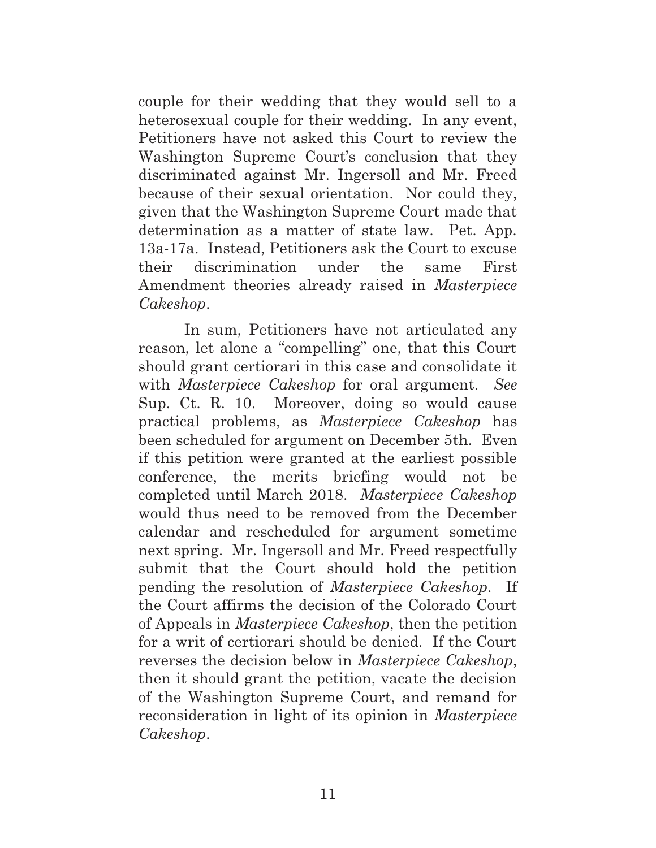couple for their wedding that they would sell to a heterosexual couple for their wedding. In any event, Petitioners have not asked this Court to review the Washington Supreme Court's conclusion that they discriminated against Mr. Ingersoll and Mr. Freed because of their sexual orientation. Nor could they, given that the Washington Supreme Court made that determination as a matter of state law. Pet. App. 13a-17a. Instead, Petitioners ask the Court to excuse their discrimination under the same First Amendment theories already raised in *Masterpiece Cakeshop*.

In sum, Petitioners have not articulated any reason, let alone a "compelling" one, that this Court should grant certiorari in this case and consolidate it with *Masterpiece Cakeshop* for oral argument. *See* Sup. Ct. R. 10. Moreover, doing so would cause practical problems, as *Masterpiece Cakeshop* has been scheduled for argument on December 5th. Even if this petition were granted at the earliest possible conference, the merits briefing would not be completed until March 2018. *Masterpiece Cakeshop* would thus need to be removed from the December calendar and rescheduled for argument sometime next spring. Mr. Ingersoll and Mr. Freed respectfully submit that the Court should hold the petition pending the resolution of *Masterpiece Cakeshop*. If the Court affirms the decision of the Colorado Court of Appeals in *Masterpiece Cakeshop*, then the petition for a writ of certiorari should be denied. If the Court reverses the decision below in *Masterpiece Cakeshop*, then it should grant the petition, vacate the decision of the Washington Supreme Court, and remand for reconsideration in light of its opinion in *Masterpiece Cakeshop*.